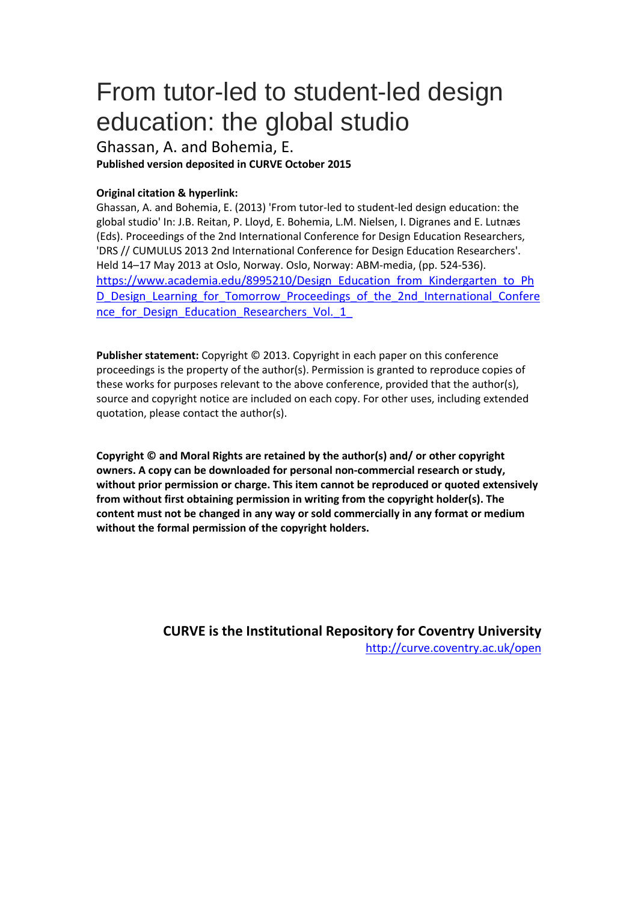# From tutor-led to student-led design education: the global studio

Ghassan, A. and Bohemia, E. **Published version deposited in CURVE October 2015**

## **Original citation & hyperlink:**

Ghassan, A. and Bohemia, E. (2013) 'From tutor-led to student-led design education: the global studio' In: J.B. Reitan, P. Lloyd, E. Bohemia, L.M. Nielsen, I. Digranes and E. Lutnæs (Eds). Proceedings of the 2nd International Conference for Design Education Researchers, 'DRS // CUMULUS 2013 2nd International Conference for Design Education Researchers'. Held 14–17 May 2013 at Oslo, Norway. Oslo, Norway: ABM-media, (pp. 524-536). [https://www.academia.edu/8995210/Design\\_Education\\_from\\_Kindergarten\\_to\\_Ph](https://www.academia.edu/8995210/Design_Education_from_Kindergarten_to_PhD_Design_Learning_for_Tomorrow_Proceedings_of_the_2nd_International_Conference_for_Design_Education_Researchers_Vol._1_) [D\\_Design\\_Learning\\_for\\_Tomorrow\\_Proceedings\\_of\\_the\\_2nd\\_International\\_Confere](https://www.academia.edu/8995210/Design_Education_from_Kindergarten_to_PhD_Design_Learning_for_Tomorrow_Proceedings_of_the_2nd_International_Conference_for_Design_Education_Researchers_Vol._1_) nce for Design Education Researchers Vol. 1

**Publisher statement:** Copyright © 2013. Copyright in each paper on this conference proceedings is the property of the author(s). Permission is granted to reproduce copies of these works for purposes relevant to the above conference, provided that the author(s), source and copyright notice are included on each copy. For other uses, including extended quotation, please contact the author(s).

**Copyright © and Moral Rights are retained by the author(s) and/ or other copyright owners. A copy can be downloaded for personal non-commercial research or study, without prior permission or charge. This item cannot be reproduced or quoted extensively from without first obtaining permission in writing from the copyright holder(s). The content must not be changed in any way or sold commercially in any format or medium without the formal permission of the copyright holders.** 

> **CURVE is the Institutional Repository for Coventry University** <http://curve.coventry.ac.uk/open>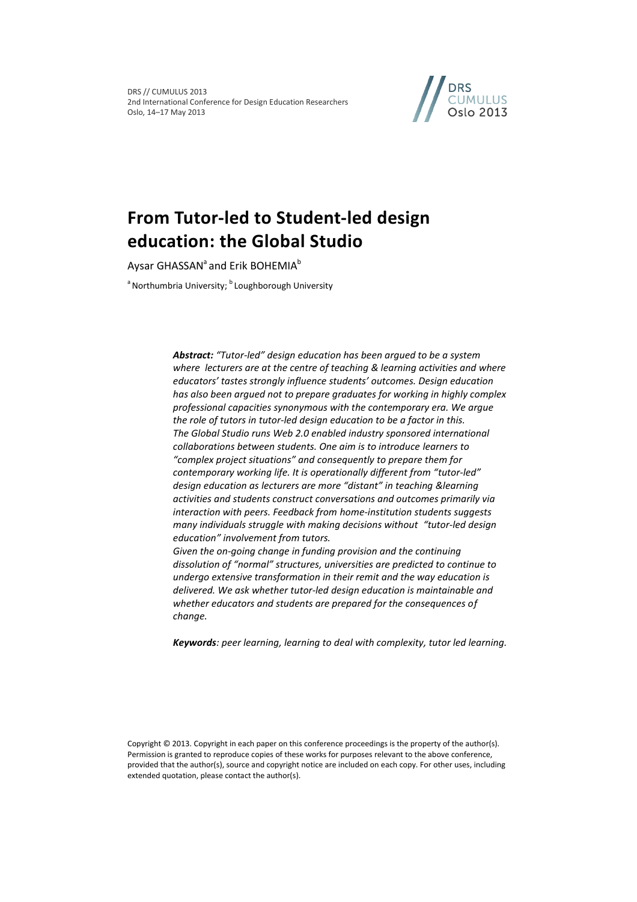DRS // CUMULUS 2013 2nd International Conference for Design Education Researchers Oslo, 14–17 May 2013



## **From Tutor-led to Student-led design education: the Global Studio**

Aysar GHASSAN<sup>a</sup> and Erik BOHEMIA<sup>b</sup>

<sup>a</sup> Northumbria University; <sup>b</sup> Loughborough University

*Abstract: "Tutor-led" design education has been argued to be a system where lecturers are at the centre of teaching & learning activities and where educators' tastes strongly influence students' outcomes. Design education has also been argued not to prepare graduates for working in highly complex professional capacities synonymous with the contemporary era. We argue the role of tutors in tutor-led design education to be a factor in this. The Global Studio runs Web 2.0 enabled industry sponsored international collaborations between students. One aim is to introduce learners to "complex project situations" and consequently to prepare them for contemporary working life. It is operationally different from "tutor-led" design education as lecturers are more "distant" in teaching &learning activities and students construct conversations and outcomes primarily via interaction with peers. Feedback from home-institution students suggests many individuals struggle with making decisions without "tutor-led design education" involvement from tutors.*

*Given the on-going change in funding provision and the continuing dissolution of "normal" structures, universities are predicted to continue to undergo extensive transformation in their remit and the way education is delivered. We ask whether tutor-led design education is maintainable and whether educators and students are prepared for the consequences of change.*

*Keywords: peer learning, learning to deal with complexity, tutor led learning.*

Copyright © 2013. Copyright in each paper on this conference proceedings is the property of the author(s). Permission is granted to reproduce copies of these works for purposes relevant to the above conference, provided that the author(s), source and copyright notice are included on each copy. For other uses, including extended quotation, please contact the author(s).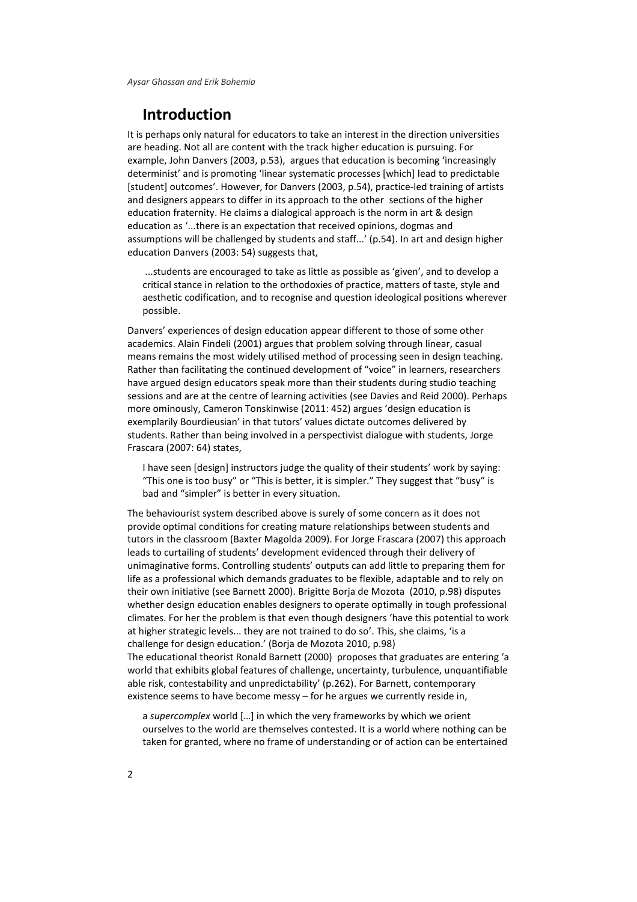## **Introduction**

It is perhaps only natural for educators to take an interest in the direction universities are heading. Not all are content with the track higher education is pursuing. For example, John Danvers [\(2003, p.53\)](#page-12-0), argues that education is becoming 'increasingly determinist' and is promoting 'linear systematic processes [which] lead to predictable [student] outcomes'. However, for Danvers [\(2003, p.54\)](#page-12-0), practice-led training of artists and designers appears to differ in its approach to the other sections of the higher education fraternity. He claims a dialogical approach is the norm in art & design education as '...there is an expectation that received opinions, dogmas and assumptions will be challenged by students and staff...' (p.54). In art and design higher education Danvers [\(2003: 54\)](#page-12-0) suggests that,

...students are encouraged to take as little as possible as 'given', and to develop a critical stance in relation to the orthodoxies of practice, matters of taste, style and aesthetic codification, and to recognise and question ideological positions wherever possible.

Danvers' experiences of design education appear different to those of some other academics. Alain Findeli [\(2001\)](#page-12-1) argues that problem solving through linear, casual means remains the most widely utilised method of processing seen in design teaching. Rather than facilitating the continued development of "voice" in learners, researchers have argued design educators speak more than their students during studio teaching sessions and are at the centre of learning activities [\(see Davies and Reid 2000\)](#page-12-2). Perhaps more ominously, Cameron Tonskinwise [\(2011: 452\)](#page-13-0) argues 'design education is exemplarily Bourdieusian' in that tutors' values dictate outcomes delivered by students. Rather than being involved in a perspectivist dialogue with students, Jorge Frascara [\(2007: 64\)](#page-12-3) states,

I have seen [design] instructors judge the quality of their students' work by saying: "This one is too busy" or "This is better, it is simpler." They suggest that "busy" is bad and "simpler" is better in every situation.

The behaviourist system described above is surely of some concern as it does not provide optimal conditions for creating mature relationships between students and tutors in the classroom [\(Baxter Magolda 2009\)](#page-11-0). For Jorge Frascara [\(2007\)](#page-12-3) this approach leads to curtailing of students' development evidenced through their delivery of unimaginative forms. Controlling students' outputs can add little to preparing them for life as a professional which demands graduates to be flexible, adaptable and to rely on their own initiative [\(see Barnett 2000\)](#page-11-1). Brigitte Borja de Mozota [\(2010, p.98\)](#page-12-4) disputes whether design education enables designers to operate optimally in tough professional climates. For her the problem is that even though designers 'have this potential to work at higher strategic levels... they are not trained to do so'. This, she claims, 'is a challenge for design education.' [\(Borja de Mozota 2010, p.98\)](#page-12-4) The educational theorist Ronald Barnett [\(2000\)](#page-11-1) proposes that graduates are entering 'a world that exhibits global features of challenge, uncertainty, turbulence, unquantifiable able risk, contestability and unpredictability' (p.262). For Barnett, contemporary

a *supercomplex* world […] in which the very frameworks by which we orient ourselves to the world are themselves contested. It is a world where nothing can be taken for granted, where no frame of understanding or of action can be entertained

existence seems to have become messy – for he argues we currently reside in,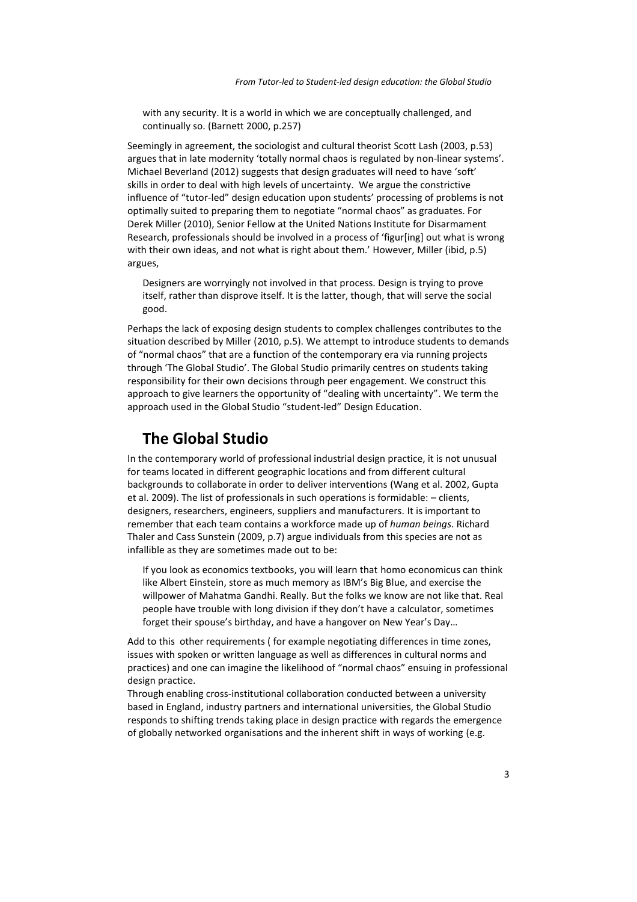with any security. It is a world in which we are conceptually challenged, and continually so. [\(Barnett 2000, p.257\)](#page-11-1)

Seemingly in agreement, the sociologist and cultural theorist Scott Lash [\(2003, p.53\)](#page-13-1) argues that in late modernity 'totally normal chaos is regulated by non-linear systems'. Michael Beverland [\(2012\)](#page-11-2) suggests that design graduates will need to have 'soft' skills in order to deal with high levels of uncertainty. We argue the constrictive influence of "tutor-led" design education upon students' processing of problems is not optimally suited to preparing them to negotiate "normal chaos" as graduates. For Derek Miller [\(2010\)](#page-13-2), Senior Fellow at the United Nations Institute for Disarmament Research, professionals should be involved in a process of 'figur[ing] out what is wrong with their own ideas, and not what is right about them.' However, Miller (ibid, p.5) argues,

Designers are worryingly not involved in that process. Design is trying to prove itself, rather than disprove itself. It is the latter, though, that will serve the social good.

Perhaps the lack of exposing design students to complex challenges contributes to the situation described by Miller [\(2010, p.5\)](#page-13-2). We attempt to introduce students to demands of "normal chaos" that are a function of the contemporary era via running projects through 'The Global Studio'. The Global Studio primarily centres on students taking responsibility for their own decisions through peer engagement. We construct this approach to give learners the opportunity of "dealing with uncertainty". We term the approach used in the Global Studio "student-led" Design Education.

## **The Global Studio**

In the contemporary world of professional industrial design practice, it is not unusual for teams located in different geographic locations and from different cultural backgrounds to collaborate in order to deliver interventions [\(Wang et al. 2002,](#page-13-3) [Gupta](#page-12-5)  [et al. 2009\)](#page-12-5). The list of professionals in such operations is formidable: – clients, designers, researchers, engineers, suppliers and manufacturers. It is important to remember that each team contains a workforce made up of *human beings*. Richard Thaler and Cass Sunstein [\(2009, p.7\)](#page-13-4) argue individuals from this species are not as infallible as they are sometimes made out to be:

If you look as economics textbooks, you will learn that homo economicus can think like Albert Einstein, store as much memory as IBM's Big Blue, and exercise the willpower of Mahatma Gandhi. Really. But the folks we know are not like that. Real people have trouble with long division if they don't have a calculator, sometimes forget their spouse's birthday, and have a hangover on New Year's Day…

Add to this other requirements ( for example negotiating differences in time zones, issues with spoken or written language as well as differences in cultural norms and practices) and one can imagine the likelihood of "normal chaos" ensuing in professional design practice.

Through enabling cross-institutional collaboration conducted between a university based in England, industry partners and international universities, the Global Studio responds to shifting trends taking place in design practice with regards the emergence of globally networked organisations and the inherent shift in ways of working (e.g.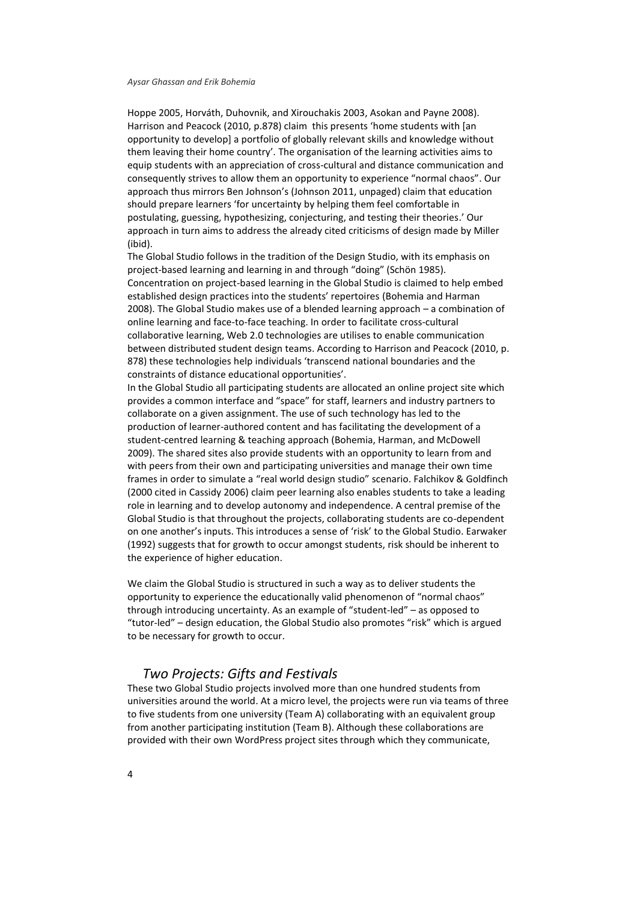[Hoppe 2005,](#page-12-6) [Horváth, Duhovnik, and Xirouchakis 2003,](#page-12-7) [Asokan and Payne 2008\)](#page-11-3). Harrison and Peacock [\(2010, p.878\)](#page-12-8) claim this presents 'home students with [an opportunity to develop] a portfolio of globally relevant skills and knowledge without them leaving their home country'. The organisation of the learning activities aims to equip students with an appreciation of cross-cultural and distance communication and consequently strives to allow them an opportunity to experience "normal chaos". Our approach thus mirrors Ben Johnson's [\(Johnson 2011, unpaged\)](#page-13-5) claim that education should prepare learners 'for uncertainty by helping them feel comfortable in postulating, guessing, hypothesizing, conjecturing, and testing their theories.' Our approach in turn aims to address the already cited criticisms of design made by Miller (ibid).

The Global Studio follows in the tradition of the Design Studio, with its emphasis on project-based learning and learning in and through "doing" (Schön 1985). Concentration on project-based learning in the Global Studio is claimed to help embed established design practices into the students' repertoires [\(Bohemia and Harman](#page-11-4)  [2008\)](#page-11-4). The Global Studio makes use of a blended learning approach – a combination of online learning and face-to-face teaching. In order to facilitate cross-cultural collaborative learning, Web 2.0 technologies are utilises to enable communication between distributed student design teams. According to Harrison and Peacock [\(2010, p.](#page-12-8)  [878\)](#page-12-8) these technologies help individuals 'transcend national boundaries and the constraints of distance educational opportunities'.

In the Global Studio all participating students are allocated an online project site which provides a common interface and "space" for staff, learners and industry partners to collaborate on a given assignment. The use of such technology has led to the production of learner-authored content and has facilitating the development of a student-centred learning & teaching approach [\(Bohemia, Harman, and McDowell](#page-11-5)  [2009\)](#page-11-5). The shared sites also provide students with an opportunity to learn from and with peers from their own and participating universities and manage their own time frames in order to simulate a "real world design studio" scenario. Falchikov & Goldfinch [\(2000 cited in Cassidy 2006\)](#page-12-9) claim peer learning also enables students to take a leading role in learning and to develop autonomy and independence. A central premise of the Global Studio is that throughout the projects, collaborating students are co-dependent on one another's inputs. This introduces a sense of 'risk' to the Global Studio. Earwaker [\(1992\)](#page-12-10) suggests that for growth to occur amongst students, risk should be inherent to the experience of higher education.

We claim the Global Studio is structured in such a way as to deliver students the opportunity to experience the educationally valid phenomenon of "normal chaos" through introducing uncertainty. As an example of "student-led" – as opposed to "tutor-led" – design education, the Global Studio also promotes "risk" which is argued to be necessary for growth to occur.

### *Two Projects: Gifts and Festivals*

These two Global Studio projects involved more than one hundred students from universities around the world. At a micro level, the projects were run via teams of three to five students from one university (Team A) collaborating with an equivalent group from another participating institution (Team B). Although these collaborations are provided with their own WordPress project sites through which they communicate,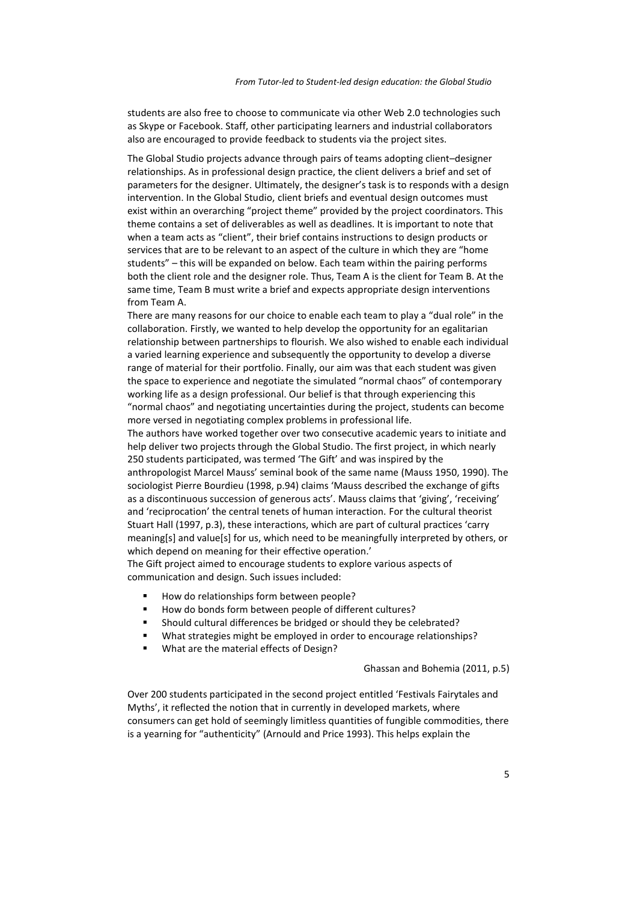students are also free to choose to communicate via other Web 2.0 technologies such as Skype or Facebook. Staff, other participating learners and industrial collaborators also are encouraged to provide feedback to students via the project sites.

The Global Studio projects advance through pairs of teams adopting client–designer relationships. As in professional design practice, the client delivers a brief and set of parameters for the designer. Ultimately, the designer's task is to responds with a design intervention. In the Global Studio, client briefs and eventual design outcomes must exist within an overarching "project theme" provided by the project coordinators. This theme contains a set of deliverables as well as deadlines. It is important to note that when a team acts as "client", their brief contains instructions to design products or services that are to be relevant to an aspect of the culture in which they are "home students" – this will be expanded on below. Each team within the pairing performs both the client role and the designer role. Thus, Team A is the client for Team B. At the same time, Team B must write a brief and expects appropriate design interventions from Team A.

There are many reasons for our choice to enable each team to play a "dual role" in the collaboration. Firstly, we wanted to help develop the opportunity for an egalitarian relationship between partnerships to flourish. We also wished to enable each individual a varied learning experience and subsequently the opportunity to develop a diverse range of material for their portfolio. Finally, our aim was that each student was given the space to experience and negotiate the simulated "normal chaos" of contemporary working life as a design professional. Our belief is that through experiencing this "normal chaos" and negotiating uncertainties during the project, students can become more versed in negotiating complex problems in professional life.

The authors have worked together over two consecutive academic years to initiate and help deliver two projects through the Global Studio. The first project, in which nearly 250 students participated, was termed 'The Gift' and was inspired by the anthropologist Marcel Mauss' seminal book of the same name [\(Mauss 1950, 1990\)](#page-13-6). The sociologist Pierre Bourdieu [\(1998, p.94\)](#page-12-11) claims 'Mauss described the exchange of gifts as a discontinuous succession of generous acts'. Mauss claims that 'giving', 'receiving' and 'reciprocation' the central tenets of human interaction. For the cultural theorist Stuart Hall [\(1997, p.3\)](#page-12-12), these interactions, which are part of cultural practices 'carry meaning[s] and value[s] for us, which need to be meaningfully interpreted by others, or which depend on meaning for their effective operation.'

The Gift project aimed to encourage students to explore various aspects of communication and design. Such issues included:

- How do relationships form between people?
- How do bonds form between people of different cultures?
- Should cultural differences be bridged or should they be celebrated?
- What strategies might be employed in order to encourage relationships?
- What are the material effects of Design?

[Ghassan and Bohemia \(2011, p.5\)](#page-12-13)

Over 200 students participated in the second project entitled 'Festivals Fairytales and Myths', it reflected the notion that in currently in developed markets, where consumers can get hold of seemingly limitless quantities of fungible commodities, there is a yearning for "authenticity" [\(Arnould and Price 1993\)](#page-11-6). This helps explain the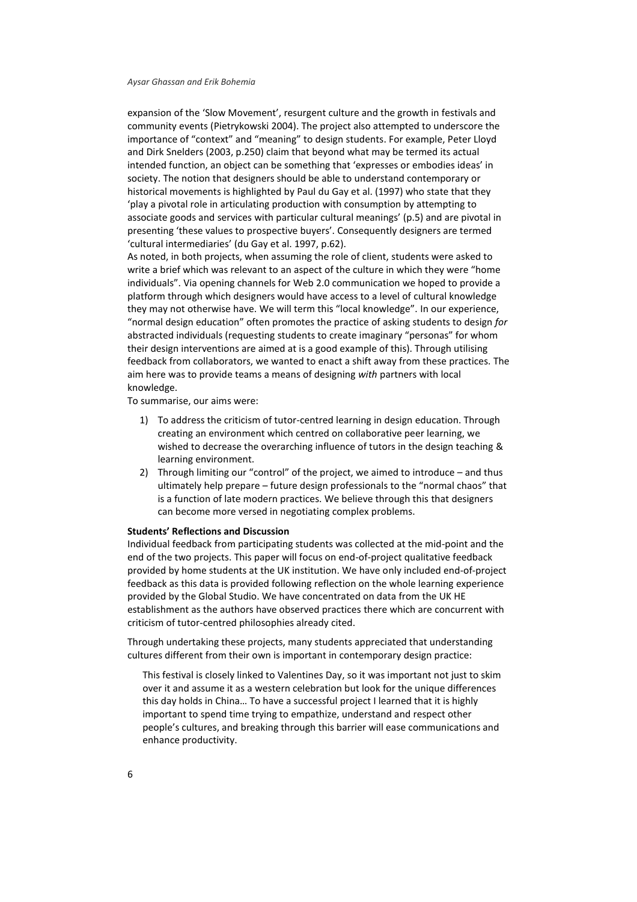expansion of the 'Slow Movement', resurgent culture and the growth in festivals and community events [\(Pietrykowski 2004\)](#page-13-7). The project also attempted to underscore the importance of "context" and "meaning" to design students. For example, Peter Lloyd and Dirk Snelders [\(2003, p.250\)](#page-13-8) claim that beyond what may be termed its actual intended function, an object can be something that 'expresses or embodies ideas' in society. The notion that designers should be able to understand contemporary or historical movements is highlighted by Paul [du Gay et al. \(1997\)](#page-12-14) who state that they 'play a pivotal role in articulating production with consumption by attempting to associate goods and services with particular cultural meanings' (p.5) and are pivotal in presenting 'these values to prospective buyers'. Consequently designers are termed 'cultural intermediaries' [\(du Gay et al. 1997, p.62\)](#page-12-14).

As noted, in both projects, when assuming the role of client, students were asked to write a brief which was relevant to an aspect of the culture in which they were "home individuals". Via opening channels for Web 2.0 communication we hoped to provide a platform through which designers would have access to a level of cultural knowledge they may not otherwise have. We will term this "local knowledge". In our experience, "normal design education" often promotes the practice of asking students to design *for* abstracted individuals (requesting students to create imaginary "personas" for whom their design interventions are aimed at is a good example of this). Through utilising feedback from collaborators, we wanted to enact a shift away from these practices. The aim here was to provide teams a means of designing *with* partners with local knowledge.

To summarise, our aims were:

- 1) To address the criticism of tutor-centred learning in design education. Through creating an environment which centred on collaborative peer learning, we wished to decrease the overarching influence of tutors in the design teaching & learning environment.
- 2) Through limiting our "control" of the project, we aimed to introduce and thus ultimately help prepare – future design professionals to the "normal chaos" that is a function of late modern practices. We believe through this that designers can become more versed in negotiating complex problems.

#### **Students' Reflections and Discussion**

Individual feedback from participating students was collected at the mid-point and the end of the two projects. This paper will focus on end-of-project qualitative feedback provided by home students at the UK institution. We have only included end-of-project feedback as this data is provided following reflection on the whole learning experience provided by the Global Studio. We have concentrated on data from the UK HE establishment as the authors have observed practices there which are concurrent with criticism of tutor-centred philosophies already cited.

Through undertaking these projects, many students appreciated that understanding cultures different from their own is important in contemporary design practice:

This festival is closely linked to Valentines Day, so it was important not just to skim over it and assume it as a western celebration but look for the unique differences this day holds in China… To have a successful project I learned that it is highly important to spend time trying to empathize, understand and respect other people's cultures, and breaking through this barrier will ease communications and enhance productivity.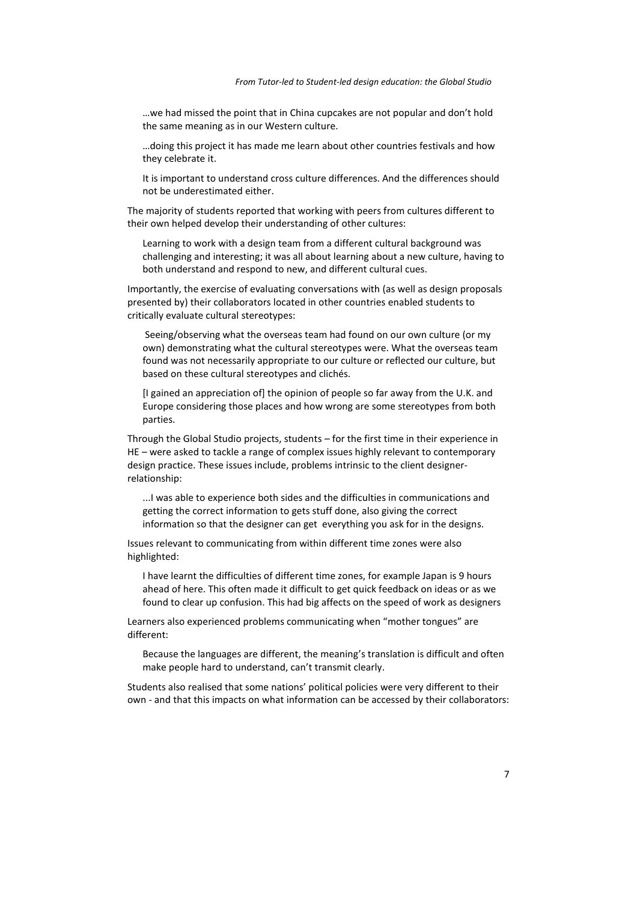…we had missed the point that in China cupcakes are not popular and don't hold the same meaning as in our Western culture.

…doing this project it has made me learn about other countries festivals and how they celebrate it.

It is important to understand cross culture differences. And the differences should not be underestimated either.

The majority of students reported that working with peers from cultures different to their own helped develop their understanding of other cultures:

Learning to work with a design team from a different cultural background was challenging and interesting; it was all about learning about a new culture, having to both understand and respond to new, and different cultural cues.

Importantly, the exercise of evaluating conversations with (as well as design proposals presented by) their collaborators located in other countries enabled students to critically evaluate cultural stereotypes:

Seeing/observing what the overseas team had found on our own culture (or my own) demonstrating what the cultural stereotypes were. What the overseas team found was not necessarily appropriate to our culture or reflected our culture, but based on these cultural stereotypes and clichés.

[I gained an appreciation of] the opinion of people so far away from the U.K. and Europe considering those places and how wrong are some stereotypes from both parties.

Through the Global Studio projects, students – for the first time in their experience in HE – were asked to tackle a range of complex issues highly relevant to contemporary design practice. These issues include, problems intrinsic to the client designerrelationship:

...I was able to experience both sides and the difficulties in communications and getting the correct information to gets stuff done, also giving the correct information so that the designer can get everything you ask for in the designs.

Issues relevant to communicating from within different time zones were also highlighted:

I have learnt the difficulties of different time zones, for example Japan is 9 hours ahead of here. This often made it difficult to get quick feedback on ideas or as we found to clear up confusion. This had big affects on the speed of work as designers

Learners also experienced problems communicating when "mother tongues" are different:

Because the languages are different, the meaning's translation is difficult and often make people hard to understand, can't transmit clearly.

Students also realised that some nations' political policies were very different to their own - and that this impacts on what information can be accessed by their collaborators: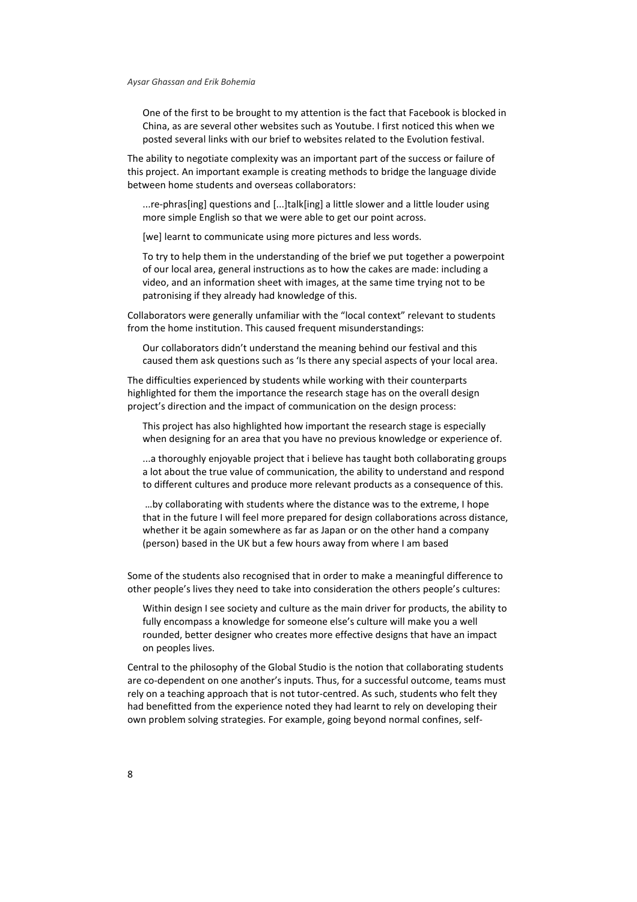One of the first to be brought to my attention is the fact that Facebook is blocked in China, as are several other websites such as Youtube. I first noticed this when we posted several links with our brief to websites related to the Evolution festival.

The ability to negotiate complexity was an important part of the success or failure of this project. An important example is creating methods to bridge the language divide between home students and overseas collaborators:

...re-phras[ing] questions and [...]talk[ing] a little slower and a little louder using more simple English so that we were able to get our point across.

[we] learnt to communicate using more pictures and less words.

To try to help them in the understanding of the brief we put together a powerpoint of our local area, general instructions as to how the cakes are made: including a video, and an information sheet with images, at the same time trying not to be patronising if they already had knowledge of this.

Collaborators were generally unfamiliar with the "local context" relevant to students from the home institution. This caused frequent misunderstandings:

Our collaborators didn't understand the meaning behind our festival and this caused them ask questions such as 'Is there any special aspects of your local area.

The difficulties experienced by students while working with their counterparts highlighted for them the importance the research stage has on the overall design project's direction and the impact of communication on the design process:

This project has also highlighted how important the research stage is especially when designing for an area that you have no previous knowledge or experience of.

...a thoroughly enjoyable project that i believe has taught both collaborating groups a lot about the true value of communication, the ability to understand and respond to different cultures and produce more relevant products as a consequence of this.

…by collaborating with students where the distance was to the extreme, I hope that in the future I will feel more prepared for design collaborations across distance, whether it be again somewhere as far as Japan or on the other hand a company (person) based in the UK but a few hours away from where I am based

Some of the students also recognised that in order to make a meaningful difference to other people's lives they need to take into consideration the others people's cultures:

Within design I see society and culture as the main driver for products, the ability to fully encompass a knowledge for someone else's culture will make you a well rounded, better designer who creates more effective designs that have an impact on peoples lives.

Central to the philosophy of the Global Studio is the notion that collaborating students are co-dependent on one another's inputs. Thus, for a successful outcome, teams must rely on a teaching approach that is not tutor-centred. As such, students who felt they had benefitted from the experience noted they had learnt to rely on developing their own problem solving strategies. For example, going beyond normal confines, self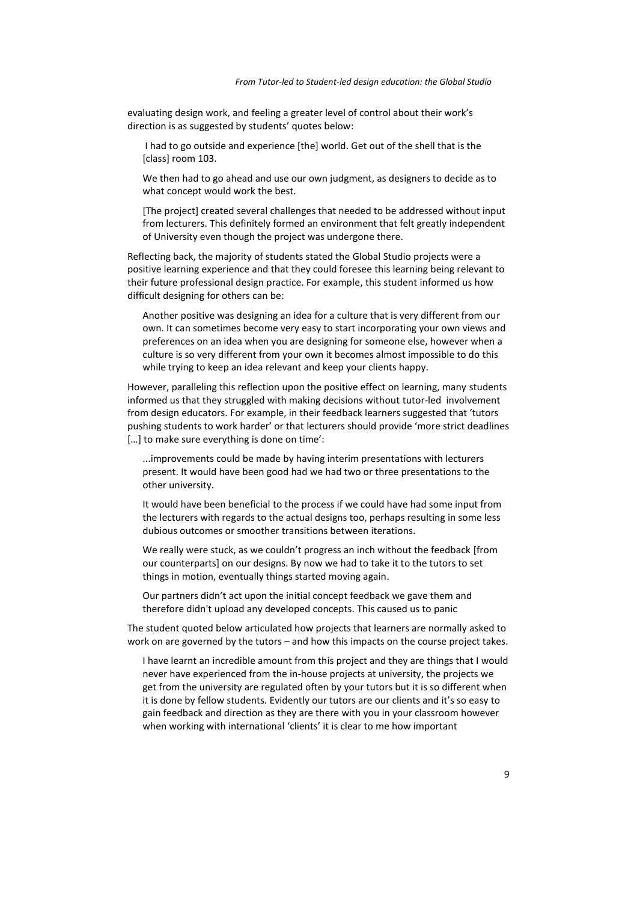evaluating design work, and feeling a greater level of control about their work's direction is as suggested by students' quotes below:

I had to go outside and experience [the] world. Get out of the shell that is the [class] room 103.

We then had to go ahead and use our own judgment, as designers to decide as to what concept would work the best.

[The project] created several challenges that needed to be addressed without input from lecturers. This definitely formed an environment that felt greatly independent of University even though the project was undergone there.

Reflecting back, the majority of students stated the Global Studio projects were a positive learning experience and that they could foresee this learning being relevant to their future professional design practice. For example, this student informed us how difficult designing for others can be:

Another positive was designing an idea for a culture that is very different from our own. It can sometimes become very easy to start incorporating your own views and preferences on an idea when you are designing for someone else, however when a culture is so very different from your own it becomes almost impossible to do this while trying to keep an idea relevant and keep your clients happy.

However, paralleling this reflection upon the positive effect on learning, many students informed us that they struggled with making decisions without tutor-led involvement from design educators. For example, in their feedback learners suggested that 'tutors pushing students to work harder' or that lecturers should provide 'more strict deadlines […] to make sure everything is done on time':

...improvements could be made by having interim presentations with lecturers present. It would have been good had we had two or three presentations to the other university.

It would have been beneficial to the process if we could have had some input from the lecturers with regards to the actual designs too, perhaps resulting in some less dubious outcomes or smoother transitions between iterations.

We really were stuck, as we couldn't progress an inch without the feedback [from our counterparts] on our designs. By now we had to take it to the tutors to set things in motion, eventually things started moving again.

Our partners didn't act upon the initial concept feedback we gave them and therefore didn't upload any developed concepts. This caused us to panic

The student quoted below articulated how projects that learners are normally asked to work on are governed by the tutors – and how this impacts on the course project takes.

I have learnt an incredible amount from this project and they are things that I would never have experienced from the in-house projects at university, the projects we get from the university are regulated often by your tutors but it is so different when it is done by fellow students. Evidently our tutors are our clients and it's so easy to gain feedback and direction as they are there with you in your classroom however when working with international 'clients' it is clear to me how important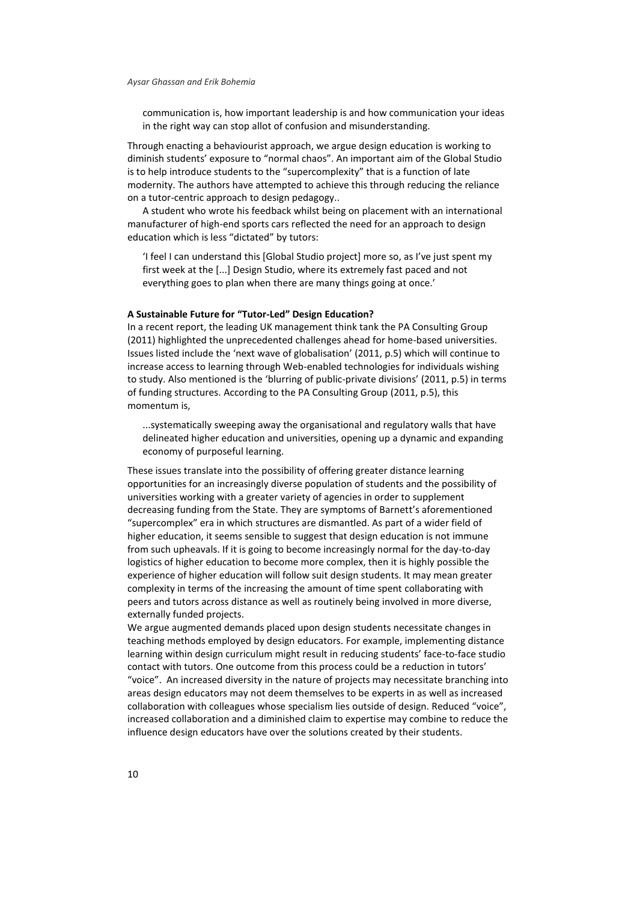communication is, how important leadership is and how communication your ideas in the right way can stop allot of confusion and misunderstanding.

Through enacting a behaviourist approach, we argue design education is working to diminish students' exposure to "normal chaos". An important aim of the Global Studio is to help introduce students to the "supercomplexity" that is a function of late modernity. The authors have attempted to achieve this through reducing the reliance on a tutor-centric approach to design pedagogy..

A student who wrote his feedback whilst being on placement with an international manufacturer of high-end sports cars reflected the need for an approach to design education which is less "dictated" by tutors:

'I feel I can understand this [Global Studio project] more so, as I've just spent my first week at the [...] Design Studio, where its extremely fast paced and not everything goes to plan when there are many things going at once.'

#### **A Sustainable Future for "Tutor-Led" Design Education?**

In a recent report, the leading UK management think tank the PA Consulting Group [\(2011\)](#page-13-9) highlighted the unprecedented challenges ahead for home-based universities. Issues listed include the 'next wave of globalisation' [\(2011, p.5\)](#page-13-9) which will continue to increase access to learning through Web-enabled technologies for individuals wishing to study. Also mentioned is the 'blurring of public-private divisions' [\(2011, p.5\)](#page-13-9) in terms of funding structures. According to the PA Consulting Group [\(2011, p.5\)](#page-13-9), this momentum is,

...systematically sweeping away the organisational and regulatory walls that have delineated higher education and universities, opening up a dynamic and expanding economy of purposeful learning.

These issues translate into the possibility of offering greater distance learning opportunities for an increasingly diverse population of students and the possibility of universities working with a greater variety of agencies in order to supplement decreasing funding from the State. They are symptoms of Barnett's aforementioned "supercomplex" era in which structures are dismantled. As part of a wider field of higher education, it seems sensible to suggest that design education is not immune from such upheavals. If it is going to become increasingly normal for the day-to-day logistics of higher education to become more complex, then it is highly possible the experience of higher education will follow suit design students. It may mean greater complexity in terms of the increasing the amount of time spent collaborating with peers and tutors across distance as well as routinely being involved in more diverse, externally funded projects.

We argue augmented demands placed upon design students necessitate changes in teaching methods employed by design educators. For example, implementing distance learning within design curriculum might result in reducing students' face-to-face studio contact with tutors. One outcome from this process could be a reduction in tutors' "voice". An increased diversity in the nature of projects may necessitate branching into areas design educators may not deem themselves to be experts in as well as increased collaboration with colleagues whose specialism lies outside of design. Reduced "voice", increased collaboration and a diminished claim to expertise may combine to reduce the influence design educators have over the solutions created by their students.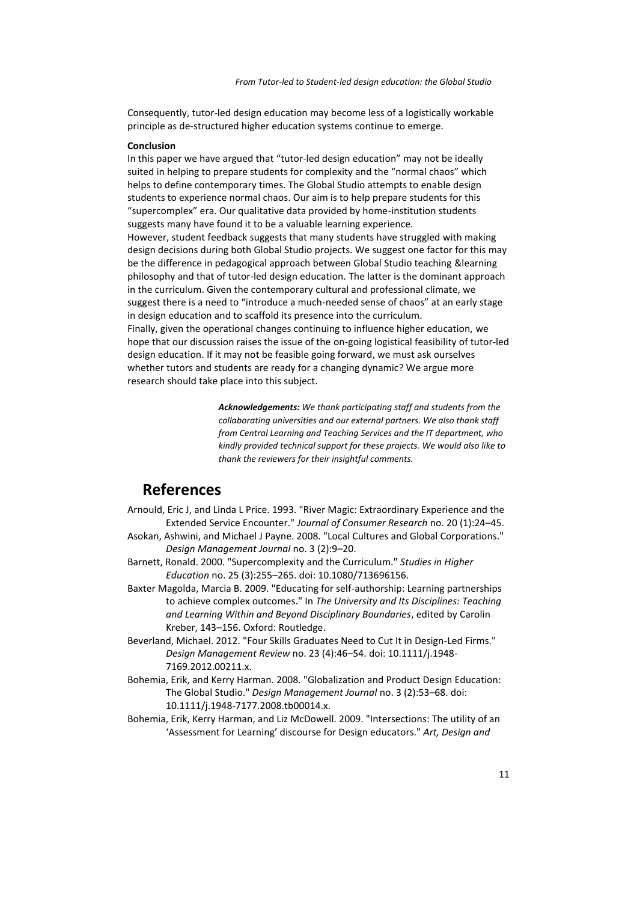Consequently, tutor-led design education may become less of a logistically workable principle as de-structured higher education systems continue to emerge.

#### **Conclusion**

In this paper we have argued that "tutor-led design education" may not be ideally suited in helping to prepare students for complexity and the "normal chaos" which helps to define contemporary times. The Global Studio attempts to enable design students to experience normal chaos. Our aim is to help prepare students for this "supercomplex" era. Our qualitative data provided by home-institution students suggests many have found it to be a valuable learning experience. However, student feedback suggests that many students have struggled with making design decisions during both Global Studio projects. We suggest one factor for this may be the difference in pedagogical approach between Global Studio teaching &learning philosophy and that of tutor-led design education. The latter is the dominant approach in the curriculum. Given the contemporary cultural and professional climate, we suggest there is a need to "introduce a much-needed sense of chaos" at an early stage in design education and to scaffold its presence into the curriculum. Finally, given the operational changes continuing to influence higher education, we hope that our discussion raises the issue of the on-going logistical feasibility of tutor-led design education. If it may not be feasible going forward, we must ask ourselves whether tutors and students are ready for a changing dynamic? We argue more research should take place into this subject.

> *Acknowledgements: We thank participating staff and students from the collaborating universities and our external partners. We also thank staff from Central Learning and Teaching Services and the IT department, who kindly provided technical support for these projects. We would also like to thank the reviewers for their insightful comments.*

## **References**

- <span id="page-11-6"></span>Arnould, Eric J, and Linda L Price. 1993. "River Magic: Extraordinary Experience and the Extended Service Encounter." *Journal of Consumer Research* no. 20 (1):24–45.
- <span id="page-11-3"></span>Asokan, Ashwini, and Michael J Payne. 2008. "Local Cultures and Global Corporations." *Design Management Journal* no. 3 (2):9–20.
- <span id="page-11-1"></span>Barnett, Ronald. 2000. "Supercomplexity and the Curriculum." *Studies in Higher Education* no. 25 (3):255–265. doi: 10.1080/713696156.
- <span id="page-11-0"></span>Baxter Magolda, Marcia B. 2009. "Educating for self-authorship: Learning partnerships to achieve complex outcomes." In *The University and Its Disciplines: Teaching and Learning Within and Beyond Disciplinary Boundaries*, edited by Carolin Kreber, 143–156. Oxford: Routledge.
- <span id="page-11-2"></span>Beverland, Michael. 2012. "Four Skills Graduates Need to Cut It in Design-Led Firms." *Design Management Review* no. 23 (4):46–54. doi: 10.1111/j.1948- 7169.2012.00211.x.
- <span id="page-11-4"></span>Bohemia, Erik, and Kerry Harman. 2008. "Globalization and Product Design Education: The Global Studio." *Design Management Journal* no. 3 (2):53–68. doi: 10.1111/j.1948-7177.2008.tb00014.x.
- <span id="page-11-5"></span>Bohemia, Erik, Kerry Harman, and Liz McDowell. 2009. "Intersections: The utility of an 'Assessment for Learning' discourse for Design educators." *Art, Design and*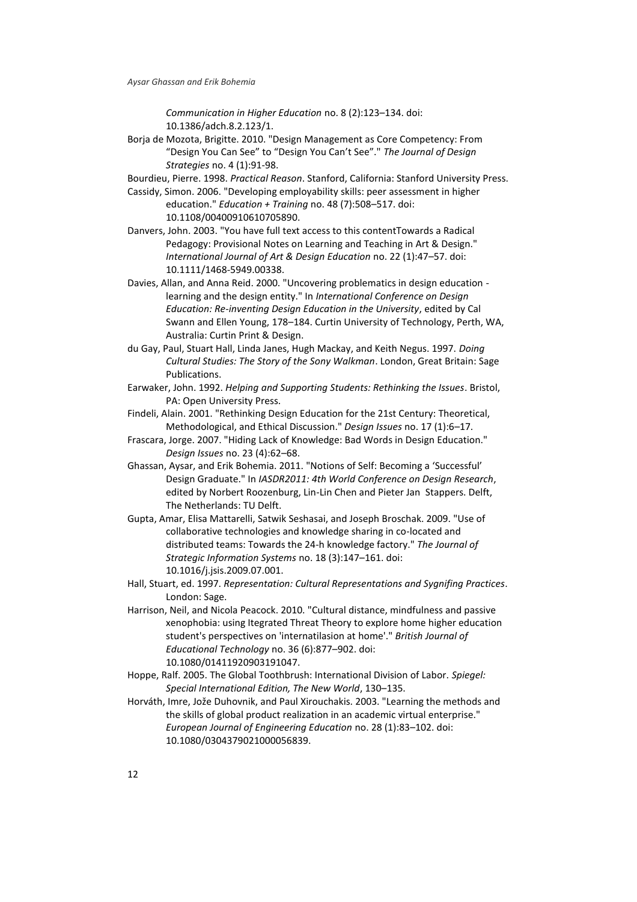*Communication in Higher Education* no. 8 (2):123–134. doi: 10.1386/adch.8.2.123/1.

<span id="page-12-4"></span>Borja de Mozota, Brigitte. 2010. "Design Management as Core Competency: From "Design You Can See" to "Design You Can't See"." *The Journal of Design Strategies* no. 4 (1):91-98.

<span id="page-12-11"></span>Bourdieu, Pierre. 1998. *Practical Reason*. Stanford, California: Stanford University Press.

- <span id="page-12-9"></span>Cassidy, Simon. 2006. "Developing employability skills: peer assessment in higher education." *Education + Training* no. 48 (7):508–517. doi: 10.1108/00400910610705890.
- <span id="page-12-0"></span>Danvers, John. 2003. "You have full text access to this contentTowards a Radical Pedagogy: Provisional Notes on Learning and Teaching in Art & Design." *International Journal of Art & Design Education* no. 22 (1):47–57. doi: 10.1111/1468-5949.00338.
- <span id="page-12-2"></span>Davies, Allan, and Anna Reid. 2000. "Uncovering problematics in design education learning and the design entity." In *International Conference on Design Education: Re-inventing Design Education in the University*, edited by Cal Swann and Ellen Young, 178–184. Curtin University of Technology, Perth, WA, Australia: Curtin Print & Design.
- <span id="page-12-14"></span>du Gay, Paul, Stuart Hall, Linda Janes, Hugh Mackay, and Keith Negus. 1997. *Doing Cultural Studies: The Story of the Sony Walkman*. London, Great Britain: Sage Publications.
- <span id="page-12-10"></span>Earwaker, John. 1992. *Helping and Supporting Students: Rethinking the Issues*. Bristol, PA: Open University Press.
- <span id="page-12-1"></span>Findeli, Alain. 2001. "Rethinking Design Education for the 21st Century: Theoretical, Methodological, and Ethical Discussion." *Design Issues* no. 17 (1):6–17.
- <span id="page-12-3"></span>Frascara, Jorge. 2007. "Hiding Lack of Knowledge: Bad Words in Design Education." *Design Issues* no. 23 (4):62–68.
- <span id="page-12-13"></span>Ghassan, Aysar, and Erik Bohemia. 2011. "Notions of Self: Becoming a 'Successful' Design Graduate." In *IASDR2011: 4th World Conference on Design Research*, edited by Norbert Roozenburg, Lin-Lin Chen and Pieter Jan Stappers. Delft, The Netherlands: TU Delft.
- <span id="page-12-5"></span>Gupta, Amar, Elisa Mattarelli, Satwik Seshasai, and Joseph Broschak. 2009. "Use of collaborative technologies and knowledge sharing in co-located and distributed teams: Towards the 24-h knowledge factory." *The Journal of Strategic Information Systems* no. 18 (3):147–161. doi: 10.1016/j.jsis.2009.07.001.
- <span id="page-12-12"></span>Hall, Stuart, ed. 1997. *Representation: Cultural Representations and Sygnifing Practices*. London: Sage.
- <span id="page-12-8"></span>Harrison, Neil, and Nicola Peacock. 2010. "Cultural distance, mindfulness and passive xenophobia: using Itegrated Threat Theory to explore home higher education student's perspectives on 'internatilasion at home'." *British Journal of Educational Technology* no. 36 (6):877–902. doi: 10.1080/01411920903191047.
- <span id="page-12-6"></span>Hoppe, Ralf. 2005. The Global Toothbrush: International Division of Labor. *Spiegel: Special International Edition, The New World*, 130–135.
- <span id="page-12-7"></span>Horváth, Imre, Jože Duhovnik, and Paul Xirouchakis. 2003. "Learning the methods and the skills of global product realization in an academic virtual enterprise." *European Journal of Engineering Education* no. 28 (1):83–102. doi: 10.1080/0304379021000056839.